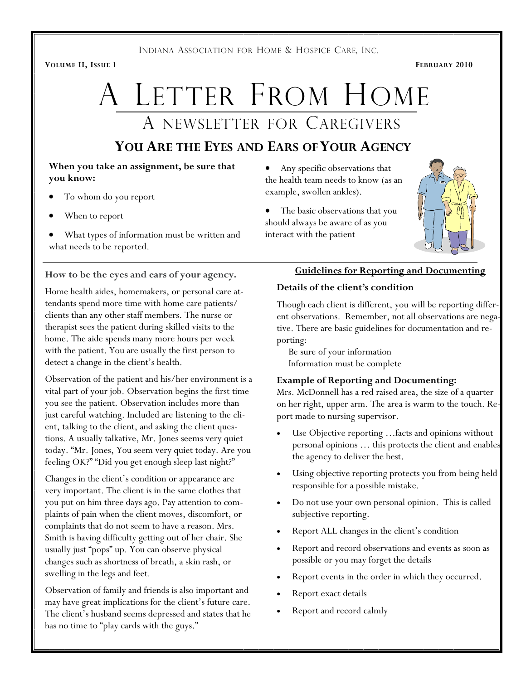INDIANA ASSOCIATION FOR HOME & HOSPICE CARE, INC.

VOLUME II, ISSUE 1 FEBRUARY 2010

# A LETTER FROM HOME A NEWSLETTER FOR CAREGIVERS

## YOU ARE THE EYES AND EARS OF YOUR AGENCY

#### When you take an assignment, be sure that you know:

- **!** • To whom do you report
- When to report
- What types of information must be written and what needs to be reported.

### How to be the eyes and ears of your agency.

Home health aides, homemakers, or personal care attendants spend more time with home care patients/ clients than any other staff members. The nurse or therapist sees the patient during skilled visits to the home. The aide spends many more hours per week with the patient. You are usually the first person to detect a change in the client's health.

Observation of the patient and his/her environment is a vital part of your job. Observation begins the first time you see the patient. Observation includes more than just careful watching. Included are listening to the client, talking to the client, and asking the client questions. A usually talkative, Mr. Jones seems very quiet today. "Mr. Jones, You seem very quiet today. Are you feeling OK?" "Did you get enough sleep last night?"

Changes in the client's condition or appearance are very important. The client is in the same clothes that you put on him three days ago. Pay attention to complaints of pain when the client moves, discomfort, or complaints that do not seem to have a reason. Mrs. Smith is having difficulty getting out of her chair. She usually just "pops" up. You can observe physical changes such as shortness of breath, a skin rash, or swelling in the legs and feet.

Observation of family and friends is also important and may have great implications for the client's future care. The client's husband seems depressed and states that he has no time to "play cards with the guys."

- Any specific observations that the health team needs to know (as an example, swollen ankles).
- The basic observations that you should always be aware of as you interact with the patient

### Guidelines for Reporting and Documenting

#### Details of the client's condition

Though each client is different, you will be reporting different observations. Remember, not all observations are negative. There are basic guidelines for documentation and reporting:

 Be sure of your information Information must be complete

#### Example of Reporting and Documenting:

Mrs. McDonnell has a red raised area, the size of a quarter on her right, upper arm. The area is warm to the touch.  $Re\}$ port made to nursing supervisor.

- Use Objective reporting ... facts and opinions without personal opinions … this protects the client and enables the agency to deliver the best.
- Using objective reporting protects you from being held responsible for a possible mistake.
- Do not use your own personal opinion. This is called subjective reporting.
- Report ALL changes in the client's condition
- Report and record observations and events as soon as possible or you may forget the details
- Report events in the order in which they occurred.
- Report exact details
- Report and record calmly